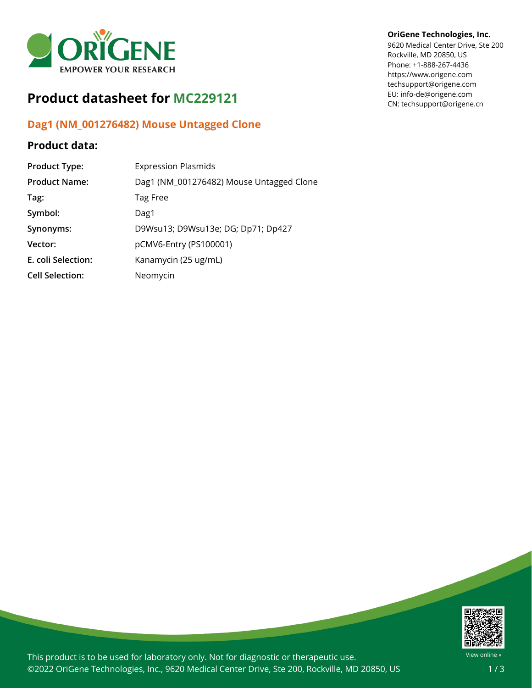

# **Product datasheet for MC229121**

## **Dag1 (NM\_001276482) Mouse Untagged Clone**

### **Product data:**

| <b>Product Type:</b>   | <b>Expression Plasmids</b>               |
|------------------------|------------------------------------------|
| <b>Product Name:</b>   | Dag1 (NM_001276482) Mouse Untagged Clone |
| Tag:                   | Tag Free                                 |
| Symbol:                | Dag1                                     |
| Synonyms:              | D9Wsu13; D9Wsu13e; DG; Dp71; Dp427       |
| Vector:                | pCMV6-Entry (PS100001)                   |
| E. coli Selection:     | Kanamycin (25 ug/mL)                     |
| <b>Cell Selection:</b> | Neomycin                                 |

#### **OriGene Technologies, Inc.**

9620 Medical Center Drive, Ste 200 Rockville, MD 20850, US Phone: +1-888-267-4436 https://www.origene.com techsupport@origene.com EU: info-de@origene.com CN: techsupport@origene.cn



This product is to be used for laboratory only. Not for diagnostic or therapeutic use. ©2022 OriGene Technologies, Inc., 9620 Medical Center Drive, Ste 200, Rockville, MD 20850, US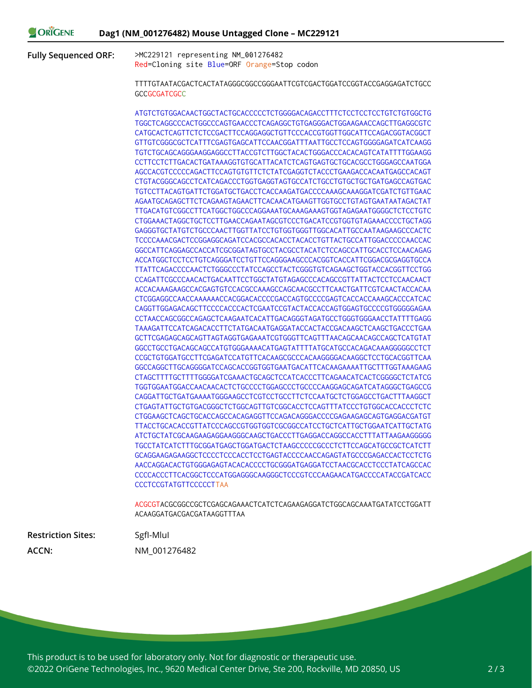**Fully Sequenced ORF:** >MC229121 representing NM\_001276482

Red=Cloning site Blue=ORF Orange=Stop codon

TTTTGTAATACGACTCACTATAGGGCGGCCGGGAATTCGTCGACTGGATCCGGTACCGAGGAGATCTGCC **GCCGCGATCGCC** 

ATGTCTGTGGACAACTGGCTACTGCACCCCCTCTGGGGACAGACCTTTCTCCTCCTCCTGTCTGTGGCTG TGGCTCAGGCCCACTGGCCCAGTGAACCCTCAGAGGCTGTGAGGGACTGGAAGAACCAGCTTGAGGCGTC CATGCACTCAGTTCTCTCCGACTTCCAGGAGGCTGTTCCCACCGTGGTTGGCATTCCAGACGGTACGGCT GTTGTCGGGCGCTCATTTCGAGTGAGCATTCCAACGGATTTAATTGCCTCCAGTGGGGAGATCATCAAGG TGTCTGCAGCAGGGAAGGAGGCCTTACCGTCTTGGCTACACTGGGACCCACACAGTCATATTTTGGAAGG CCTTCCTCTTGACACTGATAAAGGTGTGCATTACATCTCAGTGAGTGCTGCACGCCTGGGAGCCAATGGA AGCCACGTCCCCCAGACTTCCAGTGTGTTCTCTATCGAGGTCTACCCTGAAGACCACAATGAGCCACAGT CTGTACGGGCAGCCTCATCAGACCCTGGTGAGGTAGTGCCATCTGCCTGTGCTGCTGATGAGCCAGTGAC TGTCCTTACAGTGATTCTGGATGCTGACCTCACCAAGATGACCCCAAAGCAAAGGATCGATCTGTTGAAC AGAATGCAGAGCTTCTCAGAAGTAGAACTTCACAACATGAAGTTGGTGCCTGTAGTGAATAATAGACTAT TTGACATGTCGGCCTTCATGGCTGGCCCAGGAAATGCAAAGAAAGTGGTAGAGAATGGGGCTCTCCTGTC CTGGAAACTAGGCTGCTCCTTGAACCAGAATAGCGTCCCTGACATCCGTGGTGTAGAAACCCCTGCTAGG GAGGGTGCTATGTCTGCCCAACTTGGTTATCCTGTGGTGGGTTGGCACATTGCCAATAAGAAGCCCACTC TCCCCAAACGACTCCGGAGGCAGATCCACGCCACACCTACACCTGTTACTGCCATTGGACCCCCAACCAC GGCCATTCAGGAGCCACCATCGCGGATAGTGCCTACGCCTACATCTCCAGCCATTGCACCTCCAACAGAG ACCATGGCTCCTCCTGTCAGGGATCCTGTTCCAGGGAAGCCCACGGTCACCATTCGGACGCGAGGTGCCA TTATTCAGACCCCAACTCTGGGCCCTATCCAGCCTACTCGGGTGTCAGAAGCTGGTACCACGGTTCCTGG CCAGATTCGCCCAACACTGACAATTCCTGGCTATGTAGAGCCCACAGCCGTTATTACTCCTCCAACAACT ACCACAAAGAAGCCACGAGTGTCCACGCCAAAGCCAGCAACGCCTTCAACTGATTCGTCAACTACCACAA CTCGGAGGCCAACCAAAAAACCACGGACACCCCGACCAGTGCCCCGAGTCACCACCAAAGCACCCATCAC CAGGTTGGAGACAGCTTCCCCACCCACTCGAATCCGTACTACCACCAGTGGAGTGCCCCGTGGGGGAGAA CCTAACCAGCGGCCAGAGCTCAAGAATCACATTGACAGGGTAGATGCCTGGGTGGGAACCTATTTTGAGG TAAAGATTCCATCAGACACCTTCTATGACAATGAGGATACCACTACCGACAAGCTCAAGCTGACCCTGAA GCTTCGAGAGCAGCAGTTAGTAGGTGAGAAATCGTGGGTTCAGTTTAACAGCAACAGCCAGCTCATGTAT GGCCTGCCTGACAGCAGCCATGTGGGAAAACATGAGTATTTTATGCATGCCACAGACAAAGGGGGCCTCT CCGCTGTGGATGCCTTCGAGATCCATGTTCACAAGCGCCCACAAGGGGACAAGGCTCCTGCACGGTTCAA GGCCAGGCTTGCAGGGGATCCAGCACCGGTGGTGAATGACATTCACAAGAAAATTGCTTTGGTAAAGAAG CTAGCTTTTGCTTTTGGGGATCGAAACTGCAGCTCCATCACCCTTCAGAACATCACTCGGGGCTCTATCG TGGTGGAATGGACCAACAACACTCTGCCCCTGGAGCCCTGCCCCAAGGAGCAGATCATAGGGCTGAGCCG CAGGATTGCTGATGAAAATGGGAAGCCTCGTCCTGCCTTCTCCAATGCTCTGGAGCCTGACTTTAAGGCT CTGAGTATTGCTGTGACGGGCTCTGGCAGTTGTCGGCACCTCCAGTTTATCCCTGTGGCACCACCCTCTC CTGGAAGCTCAGCTGCACCAGCCACAGAGGTTCCAGACAGGGACCCCGAGAAGAGCAGTGAGGACGATGT TTACCTGCACACCGTTATCCCAGCCGTGGTGGTCGCGGCCATCCTGCTCATTGCTGGAATCATTGCTATG ATCTGCTATCGCAAGAAGAGGAAGGGCAAGCTGACCCTTGAGGACCAGGCCACCTTTATTAAGAAGGGGG TGCCTATCATCTTTGCGGATGAGCTGGATGACTCTAAGCCCCCGCCCTCTTCCAGCATGCCGCTCATCTT GCAGGAAGAGAAGGCTCCCCTCCCACCTCCTGAGTACCCCAACCAGAGTATGCCCGAGACCACTCCTCTG AACCAGGACACTGTGGGAGAGTACACACCCCTGCGGGATGAGGATCCTAACGCACCTCCCTATCAGCCAC CCCCACCCTTCACGGCTCCCATGGAGGGCAAGGGCTCCCGTCCCAAGAACATGACCCCATACCGATCACC CCCTCCGTATGTTCCCCCTTAA

ACGCGTACGCGGCCGCTCGAGCAGAAACTCATCTCAGAAGAGGATCTGGCAGCAAATGATATCCTGGATT ACAAGGATGACGACGATAAGGTTTAA

**Restriction Sites:** SgfI-MluI **ACCN:** NM\_001276482

This product is to be used for laboratory only. Not for diagnostic or therapeutic use. ©2022 OriGene Technologies, Inc., 9620 Medical Center Drive, Ste 200, Rockville, MD 20850, US